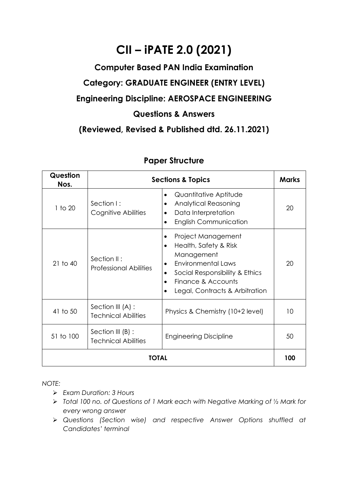# **CII – iPATE 2.0 (2021)**

# **Computer Based PAN India Examination Category: GRADUATE ENGINEER (ENTRY LEVEL) Engineering Discipline: AEROSPACE ENGINEERING Questions & Answers**

**(Reviewed, Revised & Published dtd. 26.11.2021)**

| Question<br>Nos. |                                                   | <b>Sections &amp; Topics</b>                                                                                                                                                                               | <b>Marks</b> |
|------------------|---------------------------------------------------|------------------------------------------------------------------------------------------------------------------------------------------------------------------------------------------------------------|--------------|
| 1 to 20          | Section I:<br>Cognitive Abilities                 | Quantitative Aptitude<br>$\bullet$<br><b>Analytical Reasoning</b><br>$\bullet$<br>Data Interpretation<br><b>English Communication</b>                                                                      | 20           |
| $21$ to $40$     | Section II:<br><b>Professional Abilities</b>      | Project Management<br>Health, Safety & Risk<br>$\bullet$<br>Management<br><b>Environmental Laws</b><br>$\bullet$<br>Social Responsibility & Ethics<br>Finance & Accounts<br>Legal, Contracts & Arbitration | 20           |
| 41 to 50         | Section III (A) :<br><b>Technical Abilities</b>   | Physics & Chemistry (10+2 level)                                                                                                                                                                           | 10           |
| 51 to 100        | Section III $(B)$ :<br><b>Technical Abilities</b> | <b>Engineering Discipline</b>                                                                                                                                                                              | 50           |
| TOTAL            |                                                   |                                                                                                                                                                                                            |              |

### **Paper Structure**

*NOTE:*

- ➢ *Exam Duration: 3 Hours*
- ➢ *Total 100 no. of Questions of 1 Mark each with Negative Marking of ½ Mark for every wrong answer*
- ➢ *Questions (Section wise) and respective Answer Options shuffled at Candidates' terminal*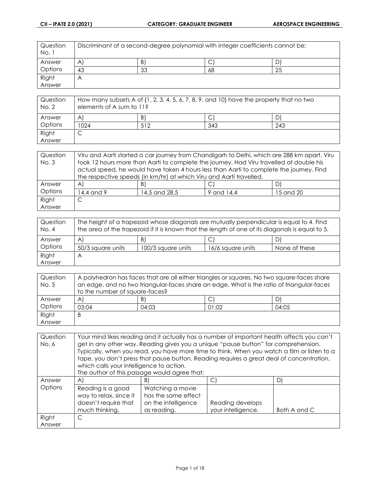| Question<br>No. 1 | Discriminant of a second-degree polynomial with integer coefficients cannot be: |    |    |    |
|-------------------|---------------------------------------------------------------------------------|----|----|----|
| Answer            | A                                                                               | B) | ◡  |    |
| Options           | 43                                                                              | 33 | 68 | 25 |
| Right             | Α                                                                               |    |    |    |
| Answer            |                                                                                 |    |    |    |

| Question<br>No. 2 | How many subsets A of $\{1, 2, 3, 4, 5, 6, 7, 8, 9,$ and $10\}$ have the property that no two<br>elements of A sum to 11? |     |     |     |
|-------------------|---------------------------------------------------------------------------------------------------------------------------|-----|-----|-----|
| Answer            | A                                                                                                                         | B)  |     | D'  |
| Options           | 024                                                                                                                       | 512 | 343 | 243 |
| Right             | ◡                                                                                                                         |     |     |     |
| Answer            |                                                                                                                           |     |     |     |

| Question<br>No.3 | Viru and Aarti started a car journey from Chandigarh to Delhi, which are 288 km apart. Viru<br>took 12 hours more than Aarti to complete the journey. Had Viru travelled at double his<br>actual speed, he would have taken 4 hours less than Aarti to complete the journey. Find |               |            |           |
|------------------|-----------------------------------------------------------------------------------------------------------------------------------------------------------------------------------------------------------------------------------------------------------------------------------|---------------|------------|-----------|
|                  | the respective speeds (in km/hr) at which Viru and Aarti travelled.                                                                                                                                                                                                               |               |            |           |
| Answer           | $\mathsf{A}$                                                                                                                                                                                                                                                                      | B)            | C.         | D)        |
| Options          | 14.4 and 9                                                                                                                                                                                                                                                                        | 14.5 and 28.5 | 9 and 14.4 | 15 and 20 |
| Right            |                                                                                                                                                                                                                                                                                   |               |            |           |
| Answer           |                                                                                                                                                                                                                                                                                   |               |            |           |

| Question<br>No. 4 | The height of a trapezoid whose diagonals are mutually perpendicular is equal to 4. Find<br>the area of the trapezoid if it is known that the length of one of its diagonals is equal to 5. |                    |                   |               |
|-------------------|---------------------------------------------------------------------------------------------------------------------------------------------------------------------------------------------|--------------------|-------------------|---------------|
| Answer            | $\mathsf{A}^{\prime}$                                                                                                                                                                       | B)                 |                   | D)            |
| Options           | 50/3 square units                                                                                                                                                                           | 100/3 square units | 16/6 square units | None of these |
| Right             | Α                                                                                                                                                                                           |                    |                   |               |
| Answer            |                                                                                                                                                                                             |                    |                   |               |

| Question | A polyhedron has faces that are all either triangles or squares. No two square-faces share |    |  |    |  |
|----------|--------------------------------------------------------------------------------------------|----|--|----|--|
| No. 5    | an edge, and no two triangular-faces share an edge. What is the ratio of triangular-faces  |    |  |    |  |
|          | to the number of square-faces?                                                             |    |  |    |  |
| Answer   | $\mathsf{A}$                                                                               | B) |  | D) |  |
| Options  | 01:02<br>03:04<br>04:05<br>04:03                                                           |    |  |    |  |
| Right    | B                                                                                          |    |  |    |  |
| Answer   |                                                                                            |    |  |    |  |

| Question | Your mind likes reading and it actually has a number of important health affects you can't |                                                                                             |                    |              |
|----------|--------------------------------------------------------------------------------------------|---------------------------------------------------------------------------------------------|--------------------|--------------|
| No. 6    |                                                                                            | get in any other way. Reading gives you a unique "pause button" for comprehension.          |                    |              |
|          |                                                                                            | Typically, when you read, you have more time to think. When you watch a film or listen to a |                    |              |
|          |                                                                                            | tape, you don't press that pause button. Reading requires a great deal of concentration,    |                    |              |
|          | which calls your intelligence to action.                                                   |                                                                                             |                    |              |
|          |                                                                                            | The author of this passage would agree that:                                                |                    |              |
| Answer   | A)                                                                                         | B)                                                                                          | C)                 | D)           |
| Options  | Reading is a good                                                                          | Watching a movie                                                                            |                    |              |
|          | way to relax, since it                                                                     | has the same effect                                                                         |                    |              |
|          | doesn't require that                                                                       | on the intelligence                                                                         | Reading develops   |              |
|          | much thinking.                                                                             | as reading.                                                                                 | your intelligence. | Both A and C |
| Right    | С                                                                                          |                                                                                             |                    |              |
| Answer   |                                                                                            |                                                                                             |                    |              |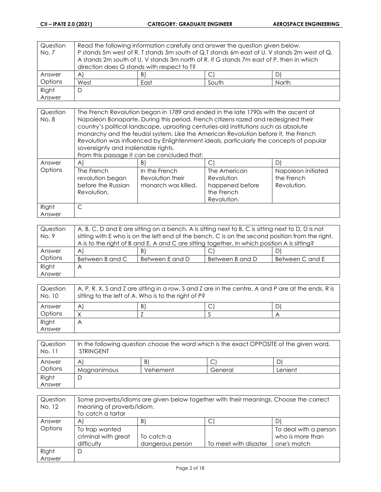| Question | Read the following information carefully and answer the question given below.               |    |  |   |  |
|----------|---------------------------------------------------------------------------------------------|----|--|---|--|
| No.7     | P stands 5m west of R. T stands 5m south of Q.T stands 6m east of U. V stands 2m west of Q. |    |  |   |  |
|          | A stands 2m south of U. V stands 3m north of R. If G stands 7m east of P, then in which     |    |  |   |  |
|          | direction does G stands with respect to T?                                                  |    |  |   |  |
| Answer   | $\mathsf{A}$                                                                                | B) |  | D |  |
| Options  | South<br>North<br>West<br>East                                                              |    |  |   |  |
| Right    | D                                                                                           |    |  |   |  |
| Answer   |                                                                                             |    |  |   |  |

| Question<br>No. 8 | The French Revolution began in 1789 and ended in the late 1790s with the ascent of<br>Napoleon Bonaparte. During this period, French citizens razed and redesigned their<br>country's political landscape, uprooting centuries-old institutions such as absolute<br>monarchy and the feudal system. Like the American Revolution before it, the French<br>Revolution was influenced by Enlightenment ideals, particularly the concepts of popular<br>sovereignty and inalienable rights.<br>From this passage it can be concluded that: |                                                          |                                                                            |                                                 |
|-------------------|-----------------------------------------------------------------------------------------------------------------------------------------------------------------------------------------------------------------------------------------------------------------------------------------------------------------------------------------------------------------------------------------------------------------------------------------------------------------------------------------------------------------------------------------|----------------------------------------------------------|----------------------------------------------------------------------------|-------------------------------------------------|
| Answer            | $\mathsf{A}$                                                                                                                                                                                                                                                                                                                                                                                                                                                                                                                            | B)                                                       | C)                                                                         | D)                                              |
| Options           | The French<br>revolution began<br>before the Russian<br>Revolution.                                                                                                                                                                                                                                                                                                                                                                                                                                                                     | In the French<br>Revolution their<br>monarch was killed. | The American<br>Revolution<br>happened before<br>the French<br>Revolution. | Napoleon initiated<br>the French<br>Revolution. |
| Right<br>Answer   | C                                                                                                                                                                                                                                                                                                                                                                                                                                                                                                                                       |                                                          |                                                                            |                                                 |

| Question | A, B, C, D and E are sitting on a bench. A is sitting next to B, C is sitting next to D, D is not |                 |                 |                 |
|----------|---------------------------------------------------------------------------------------------------|-----------------|-----------------|-----------------|
| No. 9    | sitting with E who is on the left end of the bench. C is on the second position from the right.   |                 |                 |                 |
|          | A is to the right of B and E. A and C are sitting together. In which position A is sitting?       |                 |                 |                 |
| Answer   | $\forall$                                                                                         | B)              |                 |                 |
| Options  | Between B and C                                                                                   | Between E and D | Between B and D | Between C and E |
| Right    | А                                                                                                 |                 |                 |                 |
| Answer   |                                                                                                   |                 |                 |                 |

| Question<br>No. 10 | A, P, R, X, S and Z are sitting in a row. S and Z are in the centre. A and P are at the ends. R is<br>sitting to the left of A. Who is to the right of P? |    |  |  |
|--------------------|-----------------------------------------------------------------------------------------------------------------------------------------------------------|----|--|--|
| Answer             | A                                                                                                                                                         | В١ |  |  |
| Options            |                                                                                                                                                           |    |  |  |
| Right              | Α                                                                                                                                                         |    |  |  |
| Answer             |                                                                                                                                                           |    |  |  |

| Question<br>No. 11 | In the following question choose the word which is the exact OPPOSITE of the given word.<br><b>STRINGENT</b> |          |         |         |
|--------------------|--------------------------------------------------------------------------------------------------------------|----------|---------|---------|
| Answer             | Α                                                                                                            | B.       |         |         |
| Options            | <b>Magnanimous</b>                                                                                           | Vehement | General | Lenient |
| Right              |                                                                                                              |          |         |         |
| Answer             |                                                                                                              |          |         |         |

| Question<br>No. 12 | Some proverbs/idioms are given below together with their meanings. Choose the correct<br>meaning of proverb/idiom.<br>To catch a tartar |                  |                       |                       |
|--------------------|-----------------------------------------------------------------------------------------------------------------------------------------|------------------|-----------------------|-----------------------|
| Answer             | $\mathsf{A}$                                                                                                                            | B)               | ◡                     | D)                    |
| Options            | To trap wanted                                                                                                                          |                  |                       | To deal with a person |
|                    | criminal with great                                                                                                                     | To catch a       |                       | who is more than      |
|                    | difficulty                                                                                                                              | dangerous person | To meet with disaster | one's match           |
| Right              | D                                                                                                                                       |                  |                       |                       |
| Answer             |                                                                                                                                         |                  |                       |                       |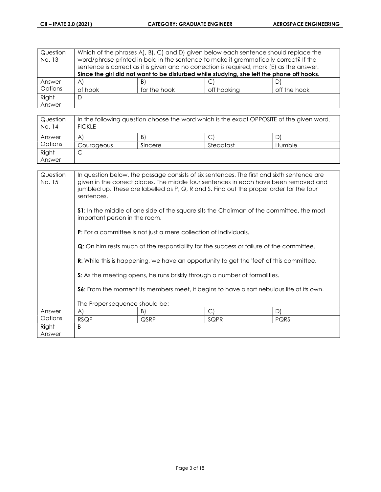| Question | Which of the phrases A, B, C, and D, given below each sentence should replace the         |                                                                                           |             |              |
|----------|-------------------------------------------------------------------------------------------|-------------------------------------------------------------------------------------------|-------------|--------------|
| No. 13   | word/phrase printed in bold in the sentence to make it grammatically correct? If the      |                                                                                           |             |              |
|          |                                                                                           | sentence is correct as it is given and no correction is required, mark (E) as the answer. |             |              |
|          | Since the girl did not want to be disturbed while studying, she left the phone off hooks. |                                                                                           |             |              |
| Answer   | A                                                                                         | B)                                                                                        |             | D'           |
| Options  | of hook                                                                                   | for the hook                                                                              | off hooking | off the hook |
| Right    | D                                                                                         |                                                                                           |             |              |
| Answer   |                                                                                           |                                                                                           |             |              |

| Question<br>No. 14 | In the following question choose the word which is the exact OPPOSITE of the given word.<br><b>FICKLE</b> |         |           |        |
|--------------------|-----------------------------------------------------------------------------------------------------------|---------|-----------|--------|
| Answer             | A                                                                                                         | B)      |           |        |
| Options            | Courageous                                                                                                | Sincere | Steadfast | Humble |
| Right              |                                                                                                           |         |           |        |
| Answer             |                                                                                                           |         |           |        |

| Question<br>No. 15 | In question below, the passage consists of six sentences. The first and sixth sentence are<br>given in the correct places. The middle four sentences in each have been removed and<br>jumbled up. These are labelled as P, Q, R and S. Find out the proper order for the four<br>sentences. |                                                                  |      |      |
|--------------------|---------------------------------------------------------------------------------------------------------------------------------------------------------------------------------------------------------------------------------------------------------------------------------------------|------------------------------------------------------------------|------|------|
|                    | <b>S1</b> : In the middle of one side of the square sits the Chairman of the committee, the most<br>important person in the room.                                                                                                                                                           |                                                                  |      |      |
|                    |                                                                                                                                                                                                                                                                                             | P: For a committee is not just a mere collection of individuals. |      |      |
|                    | <b>Q</b> : On him rests much of the responsibility for the success or failure of the committee.                                                                                                                                                                                             |                                                                  |      |      |
|                    | R: While this is happening, we have an opportunity to get the 'feel' of this committee.                                                                                                                                                                                                     |                                                                  |      |      |
|                    | <b>S:</b> As the meeting opens, he runs briskly through a number of formalities.                                                                                                                                                                                                            |                                                                  |      |      |
|                    | <b>S6:</b> From the moment its members meet, it begins to have a sort nebulous life of its own.                                                                                                                                                                                             |                                                                  |      |      |
|                    | The Proper sequence should be:                                                                                                                                                                                                                                                              |                                                                  |      |      |
| Answer             | A)                                                                                                                                                                                                                                                                                          | B)                                                               | C)   | D)   |
| Options            | <b>RSQP</b>                                                                                                                                                                                                                                                                                 | QSRP                                                             | SQPR | PQRS |
| Right<br>Answer    | B                                                                                                                                                                                                                                                                                           |                                                                  |      |      |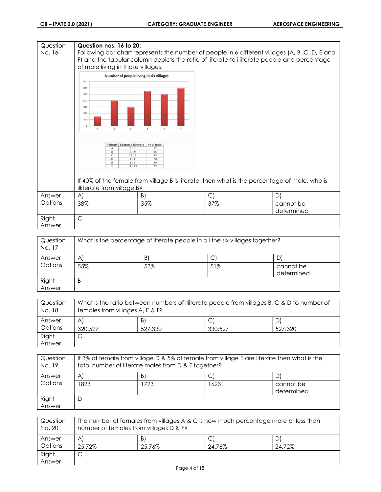| Question<br>No. 16 | Question nos. 16 to 20:<br>of male living in those villages.                                                                                                                                                                                                                                      |                                                                        | Following bar chart represents the number of people in 6 different villages (A, B, C, D, E and<br>F) and the tabular column depicts the ratio of literate to illiterate people and percentage |                         |
|--------------------|---------------------------------------------------------------------------------------------------------------------------------------------------------------------------------------------------------------------------------------------------------------------------------------------------|------------------------------------------------------------------------|-----------------------------------------------------------------------------------------------------------------------------------------------------------------------------------------------|-------------------------|
|                    | Number of people living in six villages<br>3500<br>3000<br>2500<br>2000<br>1500<br>1000<br>500<br>$\overline{\mathbf{a}}$<br>c<br>Villages   Literate : Illiterate<br>2:3<br>$\mathbf{A}$<br>$\overline{B}$<br>11:9<br>13:2<br>$\mathbf C$<br>D<br>4:1<br>${\bf E}$<br>1:3<br>$_{\rm F}$<br>11:19 | $\circ$<br>$\epsilon$<br>% of male<br>52<br>65<br>45<br>70<br>39<br>75 | If 40% of the female from village B is literate, then what is the percentage of male, who is                                                                                                  |                         |
| Answer             | illiterate from village B?<br>A)                                                                                                                                                                                                                                                                  | B)                                                                     |                                                                                                                                                                                               | D)                      |
| Options            | 38%                                                                                                                                                                                                                                                                                               | 35%                                                                    | $\mathsf{C}$<br>37%                                                                                                                                                                           | cannot be<br>determined |
| Right<br>Answer    | $\mathsf{C}$                                                                                                                                                                                                                                                                                      |                                                                        |                                                                                                                                                                                               |                         |

| Question<br>No. 17 | What is the percentage of literate people in all the six villages together? |     |     |            |
|--------------------|-----------------------------------------------------------------------------|-----|-----|------------|
| Answer             | Α                                                                           | B   | C   |            |
| Options            | 55%                                                                         | 53% | 51% | cannot be  |
|                    |                                                                             |     |     | determined |
| Right<br>Answer    | B                                                                           |     |     |            |

| Question<br>No. 18 | What is the ratio between numbers of illiterate people from villages B, C & D to number of<br>females from villages A, E & F? |         |         |         |
|--------------------|-------------------------------------------------------------------------------------------------------------------------------|---------|---------|---------|
| Answer             | A                                                                                                                             | B)      |         |         |
| Options            | 320:527                                                                                                                       | 527:330 | 330:527 | 527:320 |
| Right              |                                                                                                                               |         |         |         |
| Answer             |                                                                                                                               |         |         |         |

| Question<br>No. 19 | If 3% of female from village D & 5% of female from village E are literate then what is the<br>total number of literate males from D & F together? |      |      |                         |
|--------------------|---------------------------------------------------------------------------------------------------------------------------------------------------|------|------|-------------------------|
| Answer             | $\mathsf{A}$<br>B)                                                                                                                                |      |      |                         |
| Options            | 823                                                                                                                                               | 1723 | 1623 | cannot be<br>determined |
| Right<br>Answer    | D                                                                                                                                                 |      |      |                         |

| Question<br>No. 20 | The number of females from villages A & C is how much percentage more or less than<br>number of females from villages D & F? |        |        |        |
|--------------------|------------------------------------------------------------------------------------------------------------------------------|--------|--------|--------|
| Answer             | A                                                                                                                            | BI     |        |        |
| Options            | 25.72%                                                                                                                       | 25.76% | 24.76% | 24.72% |
| Right              | ◡                                                                                                                            |        |        |        |
| Answer             |                                                                                                                              |        |        |        |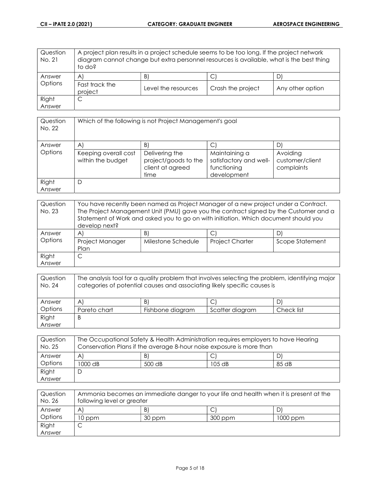| Question<br>No. 21 | A project plan results in a project schedule seems to be too long. If the project network<br>diagram cannot change but extra personnel resources is available, what is the best thing<br>to do? |                     |                   |                  |
|--------------------|-------------------------------------------------------------------------------------------------------------------------------------------------------------------------------------------------|---------------------|-------------------|------------------|
| Answer             | $\mathsf{A}^{\mathsf{I}}$                                                                                                                                                                       | B                   |                   | D                |
| Options            | Fast track the<br>project                                                                                                                                                                       | Level the resources | Crash the project | Any other option |
| Right              | ◡                                                                                                                                                                                               |                     |                   |                  |
| Answer             |                                                                                                                                                                                                 |                     |                   |                  |

| Question<br>No. 22 | Which of the following is not Project Management's goal |                                                                    |                                                                       |                                           |
|--------------------|---------------------------------------------------------|--------------------------------------------------------------------|-----------------------------------------------------------------------|-------------------------------------------|
| Answer             | $\mathsf{A}$                                            | B                                                                  |                                                                       |                                           |
| Options            | Keeping overall cost<br>within the budget               | Delivering the<br>project/goods to the<br>client at agreed<br>time | Maintaining a<br>satisfactory and well-<br>functioning<br>development | Avoiding<br>customer/client<br>complaints |
| Right<br>Answer    | D                                                       |                                                                    |                                                                       |                                           |

| Question<br>No. 23 | You have recently been named as Project Manager of a new project under a Contract.<br>The Project Management Unit (PMU) gave you the contract signed by the Customer and a<br>Statement of Work and asked you to go on with initiation. Which document should you<br>develop next? |                          |                        |                 |
|--------------------|------------------------------------------------------------------------------------------------------------------------------------------------------------------------------------------------------------------------------------------------------------------------------------|--------------------------|------------------------|-----------------|
| Answer<br>Options  | $\mathsf{A}$<br>Project Manager<br>Plan                                                                                                                                                                                                                                            | B.<br>Milestone Schedule | <b>Project Charter</b> | Scope Statement |
| Right<br>Answer    |                                                                                                                                                                                                                                                                                    |                          |                        |                 |

| Question<br>No. 24 | The analysis tool for a quality problem that involves selecting the problem, identifying major<br>categories of potential causes and associating likely specific causes is |                  |                 |            |
|--------------------|----------------------------------------------------------------------------------------------------------------------------------------------------------------------------|------------------|-----------------|------------|
| Answer             | $\mathsf{A}$                                                                                                                                                               | B)               | J               |            |
| Options            | Pareto chart                                                                                                                                                               | Fishbone diagram | Scatter diagram | Check list |
| Right              | B                                                                                                                                                                          |                  |                 |            |
| Answer             |                                                                                                                                                                            |                  |                 |            |

| Question<br>No. 25 | The Occupational Safety & Health Administration requires employers to have Hearing<br>Conservation Plans if the average 8-hour noise exposure is more than |        |        |       |
|--------------------|------------------------------------------------------------------------------------------------------------------------------------------------------------|--------|--------|-------|
| Answer             | A                                                                                                                                                          | B)     |        |       |
| Options            | 1000 dB                                                                                                                                                    | 500 dB | 105 dB | 85 dB |
| Right              |                                                                                                                                                            |        |        |       |
| Answer             |                                                                                                                                                            |        |        |       |

| Question<br>No. 26 | Ammonia becomes an immediate danger to your life and health when it is present at the<br>following level or greater |        |           |            |
|--------------------|---------------------------------------------------------------------------------------------------------------------|--------|-----------|------------|
| Answer             | A                                                                                                                   | B.     | ◡         | D          |
| Options            | 10 ppm                                                                                                              | 30 ppm | $300$ ppm | $1000$ ppm |
| Right              |                                                                                                                     |        |           |            |
| Answer             |                                                                                                                     |        |           |            |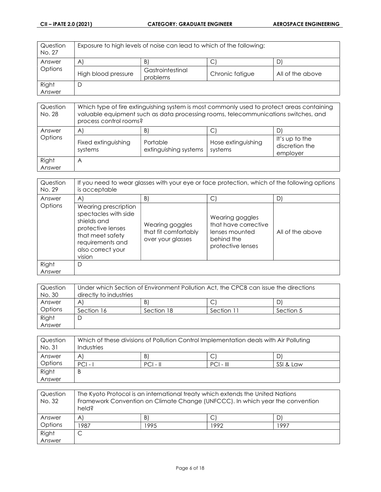| Question<br>No. 27 | Exposure to high levels of noise can lead to which of the following: |                              |                 |                  |
|--------------------|----------------------------------------------------------------------|------------------------------|-----------------|------------------|
| Answer             | $\mathsf{A}$                                                         | B)                           | C               |                  |
| Options            | High blood pressure                                                  | Gastrointestinal<br>problems | Chronic fatigue | All of the above |
| Right              | D                                                                    |                              |                 |                  |
| Answer             |                                                                      |                              |                 |                  |

| Question<br>No. 28 | Which type of fire extinguishing system is most commonly used to protect areas containing<br>valuable equipment such as data processing rooms, telecommunications switches, and<br>process control rooms? |                                         |                                    |                                                   |
|--------------------|-----------------------------------------------------------------------------------------------------------------------------------------------------------------------------------------------------------|-----------------------------------------|------------------------------------|---------------------------------------------------|
| Answer<br>Options  | $\forall$<br>Fixed extinguishing<br>systems                                                                                                                                                               | B.<br>Portable<br>extinguishing systems | С<br>Hose extinguishing<br>systems | D<br>It's up to the<br>discretion the<br>employer |
| Right<br>Answer    | A                                                                                                                                                                                                         |                                         |                                    |                                                   |

| Question<br>No. 29 | If you need to wear glasses with your eye or face protection, which of the following options<br>is acceptable                                           |                                                              |                                                                                              |                  |
|--------------------|---------------------------------------------------------------------------------------------------------------------------------------------------------|--------------------------------------------------------------|----------------------------------------------------------------------------------------------|------------------|
| Answer             | $\mathsf{A}$                                                                                                                                            | B)                                                           | С                                                                                            | $\mathsf{D}$     |
| Options            | Wearing prescription<br>spectacles with side<br>shields and<br>protective lenses<br>that meet safety<br>requirements and<br>also correct your<br>vision | Wearing goggles<br>that fit comfortably<br>over your glasses | Wearing goggles<br>that have corrective<br>lenses mounted<br>behind the<br>protective lenses | All of the above |
| Right<br>Answer    | D                                                                                                                                                       |                                                              |                                                                                              |                  |

| Question | Under which Section of Environment Pollution Act, the CPCB can issue the directions |            |            |           |
|----------|-------------------------------------------------------------------------------------|------------|------------|-----------|
| No. 30   | directly to industries                                                              |            |            |           |
| Answer   | A                                                                                   | B)         |            |           |
| Options  | Section 16                                                                          | Section 18 | Section 11 | Section 5 |
| Right    |                                                                                     |            |            |           |
| Answer   |                                                                                     |            |            |           |

| Question<br>No. 31 | Which of these divisions of Pollution Control Implementation deals with Air Polluting<br>Industries |            |             |           |
|--------------------|-----------------------------------------------------------------------------------------------------|------------|-------------|-----------|
| Answer             | A.                                                                                                  | B.         | ◡           | D         |
| Options            | $PCI - I$                                                                                           | $PCI - II$ | $PCI - III$ | SSI & Law |
| Right              | B                                                                                                   |            |             |           |
| Answer             |                                                                                                     |            |             |           |

| Question<br>No. 32 | The Kyoto Protocol is an international treaty which extends the United Nations<br>Framework Convention on Climate Change (UNFCCC). In which year the convention<br>held? |      |      |      |
|--------------------|--------------------------------------------------------------------------------------------------------------------------------------------------------------------------|------|------|------|
| Answer             | A                                                                                                                                                                        | B)   |      |      |
| Options            | 987                                                                                                                                                                      | 1995 | 1992 | 1997 |
| Right              |                                                                                                                                                                          |      |      |      |
| Answer             |                                                                                                                                                                          |      |      |      |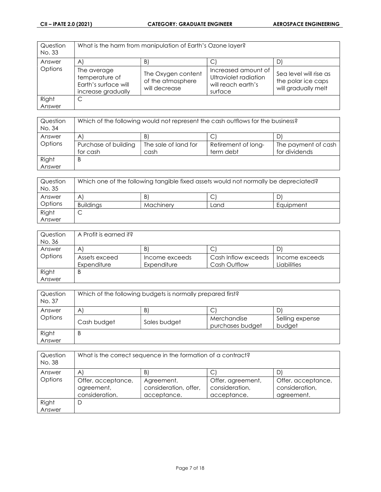| Question<br>No. 33 |                                                                             | What is the harm from manipulation of Earth's Ozone layer? |                                                                               |                                                                     |
|--------------------|-----------------------------------------------------------------------------|------------------------------------------------------------|-------------------------------------------------------------------------------|---------------------------------------------------------------------|
| Answer             | $\mathsf{A}$                                                                | $\vert B \vert$                                            |                                                                               | D.                                                                  |
| Options            | The average<br>temperature of<br>Earth's surface will<br>increase gradually | The Oxygen content<br>of the atmosphere<br>will decrease   | Increased amount of<br>Ultraviolet radiation<br>will reach earth's<br>surface | Sea level will rise as<br>the polar ice caps<br>will gradually melt |
| Right              | С                                                                           |                                                            |                                                                               |                                                                     |
| Answer             |                                                                             |                                                            |                                                                               |                                                                     |

| Question | Which of the following would not represent the cash outflows for the business? |                      |                     |                     |
|----------|--------------------------------------------------------------------------------|----------------------|---------------------|---------------------|
| No. 34   |                                                                                |                      |                     |                     |
| Answer   | $\forall$                                                                      | B                    |                     |                     |
| Options  | Purchase of building                                                           | The sale of land for | Retirement of long- | The payment of cash |
|          | for cash                                                                       | cash                 | term debt           | for dividends       |
| Right    | B                                                                              |                      |                     |                     |
| Answer   |                                                                                |                      |                     |                     |

| Question<br>No. 35 | Which one of the following tangible fixed assets would not normally be depreciated? |           |      |           |
|--------------------|-------------------------------------------------------------------------------------|-----------|------|-----------|
| Answer             | A                                                                                   | B)        | ◡    | D         |
| Options            | <b>Buildings</b>                                                                    | Machinery | Land | Equipment |
| Right              | ◡                                                                                   |           |      |           |
| Answer             |                                                                                     |           |      |           |

| Question<br>No. 36 | A Profit is earned if? |                |                     |                |
|--------------------|------------------------|----------------|---------------------|----------------|
| Answer             | A                      | B              | ◡                   |                |
| Options            | Assets exceed          | Income exceeds | Cash Inflow exceeds | Income exceeds |
|                    | Expenditure            | Expenditure    | Cash Outflow        | Liabilities    |
| Right              | Β                      |                |                     |                |
| Answer             |                        |                |                     |                |

| Question<br>No. 37 | Which of the following budgets is normally prepared first? |              |                                 |                           |
|--------------------|------------------------------------------------------------|--------------|---------------------------------|---------------------------|
| Answer             | B)<br>A<br>J                                               |              |                                 |                           |
| Options            | Cash budget                                                | Sales budget | Merchandise<br>purchases budget | Selling expense<br>budget |
| Right<br>Answer    | B                                                          |              |                                 |                           |

| Question<br>No. 38 | What is the correct sequence in the formation of a contract? |                                                    |                                                    |                                                    |
|--------------------|--------------------------------------------------------------|----------------------------------------------------|----------------------------------------------------|----------------------------------------------------|
| Answer             | A                                                            | B                                                  |                                                    | D                                                  |
| Options            | Offer, acceptance,<br>agreement,<br>consideration.           | Agreement,<br>consideration, offer,<br>acceptance. | Offer, agreement,<br>consideration,<br>acceptance. | Offer, acceptance,<br>consideration,<br>agreement. |
| Right<br>Answer    | D                                                            |                                                    |                                                    |                                                    |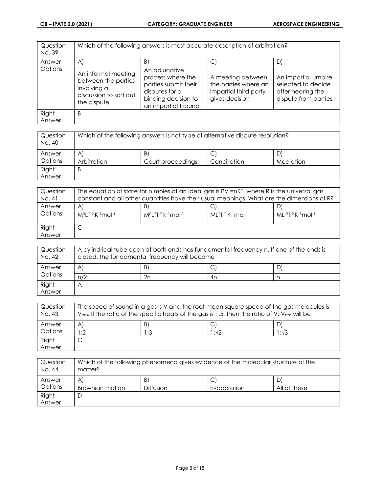| Question<br>No. 39 | Which of the following answers is most accurate description of arbitration?                        |                                                                                                                              |                                                                                      |                                                                                        |
|--------------------|----------------------------------------------------------------------------------------------------|------------------------------------------------------------------------------------------------------------------------------|--------------------------------------------------------------------------------------|----------------------------------------------------------------------------------------|
| Answer             | $\mathsf{A}$                                                                                       | B)                                                                                                                           | С                                                                                    | D)                                                                                     |
| Options            | An informal meeting<br>between the parties<br>involving a<br>discussion to sort out<br>the dispute | An adjucative<br>process where the<br>parties submit their<br>disputes for a<br>binding decision to<br>an impartial tribunal | A meeting between<br>the parties where an<br>impartial third party<br>gives decision | An impartial umpire<br>selected to decide<br>after hearing the<br>dispute from parties |
| Right<br>Answer    | B                                                                                                  |                                                                                                                              |                                                                                      |                                                                                        |

| Question<br>No. 40 | Which of the following answers is not type of alternative dispute resolution? |                   |              |           |
|--------------------|-------------------------------------------------------------------------------|-------------------|--------------|-----------|
| Answer             | A                                                                             | B.                | ◡            | D         |
| Options            | Arbitration                                                                   | Court proceedings | Conciliation | Mediation |
| Right              | B                                                                             |                   |              |           |
| Answer             |                                                                               |                   |              |           |

| Question<br>No. 41 | The equation of state for n moles of an ideal gas is PV =nRT, where R is the universal gas<br>constant and all other quantities have their usual meanings. What are the dimensions of R? |                             |                    |                     |
|--------------------|------------------------------------------------------------------------------------------------------------------------------------------------------------------------------------------|-----------------------------|--------------------|---------------------|
| Answer             | B)<br>$\forall$<br>D<br>◡                                                                                                                                                                |                             |                    |                     |
| Options            | M <sup>O</sup> LT-2 K-1mol-1                                                                                                                                                             | $M^{0}[2T-2K^{-1}mol^{-1}]$ | $ML2T-2 K-1$ mol-1 | $ML-2T-2$ K-1 mol-1 |
| Right<br>Answer    |                                                                                                                                                                                          |                             |                    |                     |

| Question<br>No. 42 | A cylindrical tube open at both ends has fundamental frequency n. If one of the ends is<br>closed, the fundamental frequency will become |                 |    |  |
|--------------------|------------------------------------------------------------------------------------------------------------------------------------------|-----------------|----|--|
| Answer             | A                                                                                                                                        | $\vert B \vert$ | C  |  |
| Options            | n/2                                                                                                                                      | 2n              | 4n |  |
| Right              | A                                                                                                                                        |                 |    |  |
| Answer             |                                                                                                                                          |                 |    |  |

| Question<br>No. 43 | The speed of sound in a gas is V and the root mean square speed of the gas molecules is<br>$V_{rms}$ . If the ratio of the specific heats of the gas is 1.5, then the ratio of V: $V_{rms}$ will be |     |       |      |  |
|--------------------|-----------------------------------------------------------------------------------------------------------------------------------------------------------------------------------------------------|-----|-------|------|--|
| Answer             | B<br>$\forall$                                                                                                                                                                                      |     |       |      |  |
| Options            | :2                                                                                                                                                                                                  | 1:3 | l :√2 | 1:√3 |  |
| Right              |                                                                                                                                                                                                     |     |       |      |  |
| Answer             |                                                                                                                                                                                                     |     |       |      |  |

| Question<br>No. 44 | Which of the following phenomena gives evidence of the molecular structure of the<br>matter? |                  |             |              |
|--------------------|----------------------------------------------------------------------------------------------|------------------|-------------|--------------|
| Answer             | A                                                                                            | B                |             |              |
| Options            | Brownian motion                                                                              | <b>Diffusion</b> | Evaporation | All of these |
| Right              | L                                                                                            |                  |             |              |
| Answer             |                                                                                              |                  |             |              |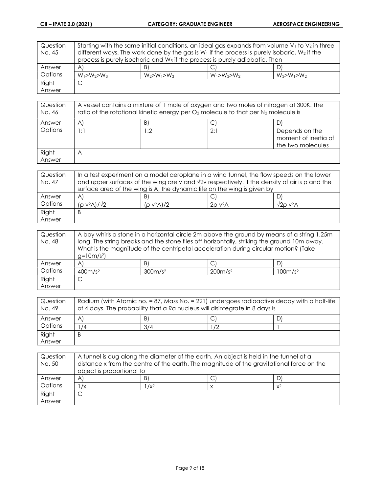| Question | Starting with the same initial conditions, an ideal gas expands from volume $V_1$ to $V_2$ in three |                                                                                                   |                   |                   |
|----------|-----------------------------------------------------------------------------------------------------|---------------------------------------------------------------------------------------------------|-------------------|-------------------|
| No. 45   |                                                                                                     | different ways. The work done by the gas is $W_1$ if the process is purely isobaric, $W_2$ if the |                   |                   |
|          | process is purely isochoric and W <sub>3</sub> if the process is purely adiabatic. Then             |                                                                                                   |                   |                   |
| Answer   | $\mathsf{A}$                                                                                        | B)                                                                                                | C                 | DI                |
| Options  | $W_1 > W_2 > W_3$                                                                                   | $W_2 > W_1 > W_3$                                                                                 | $W_1 > W_3 > W_2$ | $W_3 > W_1 > W_2$ |
| Right    |                                                                                                     |                                                                                                   |                   |                   |
| Answer   |                                                                                                     |                                                                                                   |                   |                   |

| Question<br>No. 46 | A vessel contains a mixture of 1 mole of oxygen and two moles of nitrogen at 300K. The<br>ratio of the rotational kinetic energy per $O_2$ molecule to that per $N_2$ molecule is |      |     |                                                             |  |
|--------------------|-----------------------------------------------------------------------------------------------------------------------------------------------------------------------------------|------|-----|-------------------------------------------------------------|--|
| Answer             | B)<br>$\mathsf{A}^{\mathsf{c}}$                                                                                                                                                   |      |     |                                                             |  |
| Options            | l : 1                                                                                                                                                                             | l :2 | 2:1 | Depends on the<br>moment of inertia of<br>the two molecules |  |
| Right<br>Answer    | $\overline{A}$                                                                                                                                                                    |      |     |                                                             |  |

| Question | In a test experiment on a model aeroplane in a wind tunnel, the flow speeds on the lower                   |    |  |  |  |
|----------|------------------------------------------------------------------------------------------------------------|----|--|--|--|
| No. 47   | and upper surfaces of the wing are v and $\sqrt{2}v$ respectively. If the density of air is $\rho$ and the |    |  |  |  |
|          | surface area of the wing is A, the dynamic life on the wing is given by                                    |    |  |  |  |
| Answer   | $\mathsf{A}^{\mathsf{c}}$                                                                                  | B. |  |  |  |
| Options  | $(p v^2 A)/\sqrt{2}$<br>$(p v^2 A)/2$<br>$20 \text{ V}^2$ A<br>$\sqrt{2}$ o v <sup>2</sup> A               |    |  |  |  |
| Right    | B                                                                                                          |    |  |  |  |
| Answer   |                                                                                                            |    |  |  |  |

| Question |             | A boy whirls a stone in a horizontal circle 2m above the ground by means of a string 1.25m  |            |                     |
|----------|-------------|---------------------------------------------------------------------------------------------|------------|---------------------|
| No. 48   |             | long. The string breaks and the stone flies off horizontally, striking the ground 10m away. |            |                     |
|          |             | What is the magnitude of the centripetal acceleration during circular motion? (Take         |            |                     |
|          | $g=10m/s^2$ |                                                                                             |            |                     |
| Answer   | A'          | B)                                                                                          |            |                     |
| Options  | $400m/s^2$  | $300m/s^2$                                                                                  | $200m/s^2$ | 100m/s <sup>2</sup> |
| Right    |             |                                                                                             |            |                     |
| Answer   |             |                                                                                             |            |                     |

| Question |                                                                             | Radium (with Atomic no. = 87, Mass No. = 221) undergoes radioactive decay with a half-life |    |  |
|----------|-----------------------------------------------------------------------------|--------------------------------------------------------------------------------------------|----|--|
| No. 49   | of 4 days. The probability that a Ra nucleus will disintegrate in 8 days is |                                                                                            |    |  |
| Answer   | A.                                                                          | B)                                                                                         | ◡  |  |
| Options  | /4                                                                          | 3/4                                                                                        | 72 |  |
| Right    | B                                                                           |                                                                                            |    |  |
| Answer   |                                                                             |                                                                                            |    |  |

| Question<br>No. 50 |                                                                                                                       | A tunnel is dug along the diameter of the earth. An object is held in the tunnel at a |   |       |
|--------------------|-----------------------------------------------------------------------------------------------------------------------|---------------------------------------------------------------------------------------|---|-------|
|                    | distance x from the centre of the earth. The magnitude of the gravitational force on the<br>object is proportional to |                                                                                       |   |       |
| Answer             | $\mathsf{A}^{\prime}$                                                                                                 | B)                                                                                    | ◡ | D)    |
| Options            | /x                                                                                                                    | $1/x^2$                                                                               |   | $x^2$ |
| Right              |                                                                                                                       |                                                                                       |   |       |
| Answer             |                                                                                                                       |                                                                                       |   |       |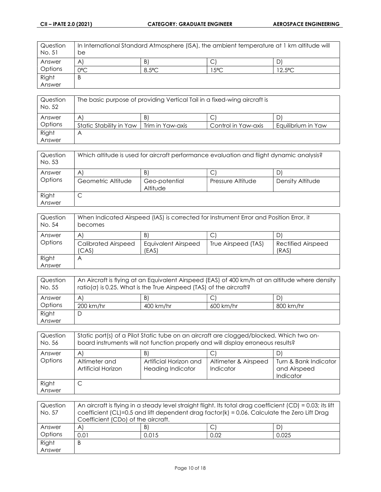| Question<br>No. 51 | be               | In International Standard Atmosphere (ISA), the ambient temperature at 1 km altitude will |               |                  |
|--------------------|------------------|-------------------------------------------------------------------------------------------|---------------|------------------|
| Answer             | A                | B)                                                                                        |               | D                |
| Options            | O <sup>o</sup> C | $8.5^{\circ}$ C                                                                           | $5^{\circ}$ C | $12.5^{\circ}$ C |
| Right              | В                |                                                                                           |               |                  |
| Answer             |                  |                                                                                           |               |                  |

| Question<br>No. 52 |                         | The basic purpose of providing Vertical Tail in a fixed-wing aircraft is |                     |                    |
|--------------------|-------------------------|--------------------------------------------------------------------------|---------------------|--------------------|
| Answer             | A                       | B)                                                                       | ◡                   | D                  |
| Options            | Static Stability in Yaw | Trim in Yaw-axis                                                         | Control in Yaw-axis | Equilibrium in Yaw |
| Right              | $\forall$               |                                                                          |                     |                    |
| Answer             |                         |                                                                          |                     |                    |

| Question<br>No. 53 |                          | Which altitude is used for aircraft performance evaluation and flight dynamic analysis? |                   |                       |
|--------------------|--------------------------|-----------------------------------------------------------------------------------------|-------------------|-----------------------|
| Answer<br>Options  | AI<br>Geometric Altitude | B)<br>Geo-potential<br>Altitude                                                         | Pressure Altitude | D<br>Density Altitude |
| Right<br>Answer    | ◡                        |                                                                                         |                   |                       |

| Question<br>No. 54 | becomes                             | When Indicated Airspeed (IAS) is corrected for Instrument Error and Position Error, it |                     |                             |
|--------------------|-------------------------------------|----------------------------------------------------------------------------------------|---------------------|-----------------------------|
| Answer             | $\mathsf{A}$                        | B)                                                                                     |                     |                             |
| Options            | <b>Calibrated Airspeed</b><br>(CAS) | Equivalent Airspeed<br>(EAS)                                                           | True Airspeed (TAS) | Rectified Airspeed<br>(RAS) |
| Right              | A                                   |                                                                                        |                     |                             |
| Answer             |                                     |                                                                                        |                     |                             |

| Question<br>No. 55 | An Aircraft is flying at an Equivalent Airspeed (EAS) of 400 km/h at an altitude where density<br>$ratio(\sigma)$ is 0.25. What is the True Airspeed (TAS) of the aircraft? |           |           |           |
|--------------------|-----------------------------------------------------------------------------------------------------------------------------------------------------------------------------|-----------|-----------|-----------|
| Answer             | A.                                                                                                                                                                          | -B)       | C         |           |
| Options            | 200 km/hr                                                                                                                                                                   | 400 km/hr | 600 km/hr | 800 km/hr |
| Right              |                                                                                                                                                                             |           |           |           |
| Answer             |                                                                                                                                                                             |           |           |           |

| Question<br>No. 56 | Static port(s) of a Pilot Static tube on an aircraft are clogged/blocked. Which two on-<br>board instruments will not function properly and will display erroneous results? |                                                    |                                   |                                                    |
|--------------------|-----------------------------------------------------------------------------------------------------------------------------------------------------------------------------|----------------------------------------------------|-----------------------------------|----------------------------------------------------|
| Answer             | A)                                                                                                                                                                          | B)                                                 |                                   | D                                                  |
| Options            | Altimeter and<br>Artificial Horizon                                                                                                                                         | Artificial Horizon and<br><b>Heading Indicator</b> | Altimeter & Airspeed<br>Indicator | Turn & Bank Indicator<br>and Airspeed<br>Indicator |
| Right<br>Answer    | C                                                                                                                                                                           |                                                    |                                   |                                                    |

| Question |                                    | An aircraft is flying in a steady level straight flight. Its total drag coefficient (CD) = 0.03; its lift |      |       |
|----------|------------------------------------|-----------------------------------------------------------------------------------------------------------|------|-------|
| No. 57   |                                    | coefficient (CL)=0.5 and lift dependent drag factor(k) = $0.06$ . Calculate the Zero Lift Drag            |      |       |
|          | Coefficient (CDo) of the aircraft. |                                                                                                           |      |       |
| Answer   | $\mathsf{A}$                       | B)                                                                                                        | С    |       |
| Options  | 0.01                               | 0.015                                                                                                     | 0.02 | 0.025 |
| Right    | В                                  |                                                                                                           |      |       |
| Answer   |                                    |                                                                                                           |      |       |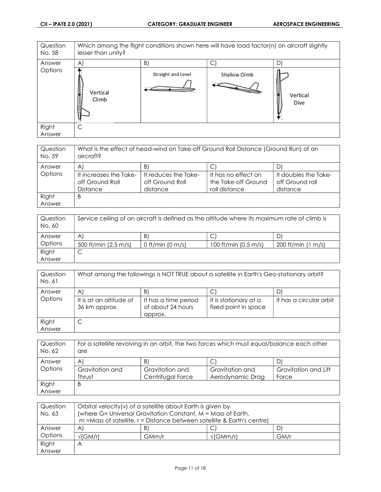| Question<br>No. 58 | lesser than unity? | Which among the flight conditions shown here will have load factor(n) on aircraft slightly |                               |                        |  |
|--------------------|--------------------|--------------------------------------------------------------------------------------------|-------------------------------|------------------------|--|
| Answer             | $\mathsf{A}$       | B.                                                                                         | С                             | D)                     |  |
| Options            | Vertical<br>Climb  | Straight and Level<br><del>.</del>                                                         | Shallow Climb<br>$\mathbb{Z}$ | Vertical<br>Dive<br>▼. |  |
| Right              | C                  |                                                                                            |                               |                        |  |
| Answer             |                    |                                                                                            |                               |                        |  |

| Question        | What is the effect of head-wind on Take-off Ground Roll Distance (Ground Run) of an |                      |                     |                      |
|-----------------|-------------------------------------------------------------------------------------|----------------------|---------------------|----------------------|
| No. 59          | aircraft?                                                                           |                      |                     |                      |
| Answer          | $\mathsf{A}$                                                                        | B.                   |                     |                      |
| Options         | It increases the Take-                                                              | It reduces the Take- | It has no effect on | It doubles the Take- |
|                 | off Ground Roll                                                                     | off Ground Roll      | the Take-off Ground | off Ground roll      |
|                 | <b>Distance</b>                                                                     | distance             | roll distance       | distance             |
| Right<br>Answer | B                                                                                   |                      |                     |                      |

| Question<br>No. 60 |                      |                  | Service ceiling of an aircraft is defined as the altitude where its maximum rate of climb is |                             |
|--------------------|----------------------|------------------|----------------------------------------------------------------------------------------------|-----------------------------|
| Answer             | A                    | $\vert B \vert$  |                                                                                              |                             |
| Options            | 500 ft/min (2.5 m/s) | 0 ft/min (0 m/s) | 100 ft/min $(0.5 \text{ m/s})$                                                               | 200 ft/min<br>m/s<br>$\Box$ |
| Right              | ◡                    |                  |                                                                                              |                             |
| Answer             |                      |                  |                                                                                              |                             |

| Question<br>No. 61 | What among the followings is NOT TRUE about a satellite in Earth's Geo-stationary orbit? |                                           |                                               |                         |
|--------------------|------------------------------------------------------------------------------------------|-------------------------------------------|-----------------------------------------------|-------------------------|
| Answer<br>Options  | A<br>It is at an altitude of                                                             | BI                                        |                                               | It has a circular orbit |
|                    | 36 km approx.                                                                            | It has a time period<br>of about 24 hours | It is stationary at a<br>fixed point in space |                         |
| Right              | ◡                                                                                        | approx.                                   |                                               |                         |
| Answer             |                                                                                          |                                           |                                               |                         |

| Question<br>No. 62 | For a satellite revolving in an orbit, the two forces which must equal/balance each other<br>are |                   |                  |                      |
|--------------------|--------------------------------------------------------------------------------------------------|-------------------|------------------|----------------------|
| Answer             | A                                                                                                | B                 |                  |                      |
| Options            | Gravitation and                                                                                  | Gravitation and   | Gravitation and  | Gravitation and Lift |
|                    | Thrust                                                                                           | Centrifugal Force | Aerodynamic Drag | Force                |
| Right              | B                                                                                                |                   |                  |                      |
| Answer             |                                                                                                  |                   |                  |                      |

| Question | Orbital velocity(v) of a satellite about Earth is given by   |                                                                             |                        |      |
|----------|--------------------------------------------------------------|-----------------------------------------------------------------------------|------------------------|------|
| No. 63   | (where G= Universal Gravitation Constant, M = Mass of Earth, |                                                                             |                        |      |
|          |                                                              | $m =$ Mass of satellite, $r =$ Distance between satellite & Earth's centre) |                        |      |
| Answer   | $\mathsf{A}$                                                 | B)                                                                          | C                      | D)   |
| Options  | $\sqrt{\text{(GM/r)}}$                                       | GMm/r                                                                       | $\sqrt{\text{GMm/r}}}$ | GM/r |
| Right    | Α                                                            |                                                                             |                        |      |
| Answer   |                                                              |                                                                             |                        |      |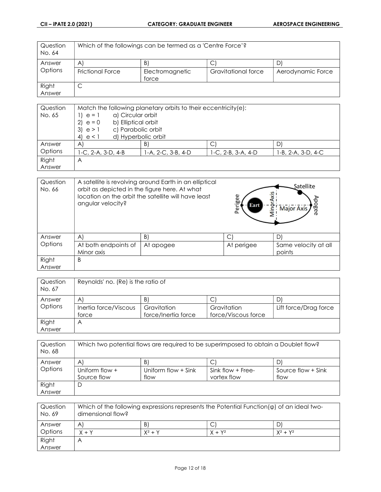| Question<br>No. 64 | Which of the followings can be termed as a 'Centre Force'? |                          |                     |                   |
|--------------------|------------------------------------------------------------|--------------------------|---------------------|-------------------|
| Answer             | A'                                                         | B)                       | ◡                   |                   |
| Options            | <b>Frictional Force</b>                                    | Electromagnetic<br>force | Gravitational force | Aerodynamic Force |
| Right              | ◡                                                          |                          |                     |                   |
| Answer             |                                                            |                          |                     |                   |

| Question | Match the following planetary orbits to their eccentricity(e): |                    |                    |                    |
|----------|----------------------------------------------------------------|--------------------|--------------------|--------------------|
| No. 65   | a) Circular orbit<br>$e = 1$                                   |                    |                    |                    |
|          | b) Elliptical orbit<br>$e = 0$<br><sup>2)</sup>                |                    |                    |                    |
|          | c) Parabolic orbit<br>3)<br>e > 1                              |                    |                    |                    |
|          | d) Hyperbolic orbit<br>4)<br>e<1                               |                    |                    |                    |
| Answer   | $\forall$                                                      | B)                 | С                  | D                  |
| Options  | $1-C. 2-A. 3-D. 4-B$                                           | 1-A, 2-C, 3-B, 4-D | 1-C, 2-B, 3-A, 4-D | 1-B, 2-A, 3-D, 4-C |
| Right    | $\forall$                                                      |                    |                    |                    |
| Answer   |                                                                |                    |                    |                    |

| Question<br>No. 66 | A satellite is revolving around Earth in an elliptical<br>orbit as depicted in the figure here. At what<br>location on the orbit the satellite will have least<br>angular velocity? |           | Perigee<br>Eart | Satellite<br>oge<br>$-\mathbf{e}$<br><b>Major Axis</b><br>Min<br>$\sigma$ |
|--------------------|-------------------------------------------------------------------------------------------------------------------------------------------------------------------------------------|-----------|-----------------|---------------------------------------------------------------------------|
| Answer             | $\forall$                                                                                                                                                                           | B)        |                 | D)                                                                        |
| Options            | At both endpoints of<br>Minor axis                                                                                                                                                  | At apogee | At perigee      | Same velocity at all<br>points                                            |
| Right              | B                                                                                                                                                                                   |           |                 |                                                                           |
| Answer             |                                                                                                                                                                                     |           |                 |                                                                           |

| Question<br>No. 67 | Reynolds' no. (Re) is the ratio of |                                    |                                    |                       |
|--------------------|------------------------------------|------------------------------------|------------------------------------|-----------------------|
| Answer             | $\mathsf{A}$                       | B                                  | ◡                                  | D)                    |
| Options            | Inertia force/Viscous<br>force     | Gravitation<br>force/Inertia force | Gravitation<br>force/Viscous force | Lift force/Drag force |
| Right              | $\forall$                          |                                    |                                    |                       |
| Answer             |                                    |                                    |                                    |                       |

| Question<br>No. 68 |                  | Which two potential flows are required to be superimposed to obtain a Doublet flow? |                     |                      |
|--------------------|------------------|-------------------------------------------------------------------------------------|---------------------|----------------------|
| Answer             | $\mathsf{A}$     | B                                                                                   |                     | D)                   |
| Options            | Uniform flow $+$ | Uniform flow + Sink                                                                 | Sink flow $+$ Free- | Source flow $+$ Sink |
|                    | Source flow      | flow                                                                                | vortex flow         | flow                 |
| Right              |                  |                                                                                     |                     |                      |
| Answer             |                  |                                                                                     |                     |                      |

| Question<br>No. 69 | dimensional flow?       |           |           | Which of the following expressions represents the Potential Function( $\varphi$ ) of an ideal two- |
|--------------------|-------------------------|-----------|-----------|----------------------------------------------------------------------------------------------------|
| Answer             | $\mathsf{A}$            | B)        | ◡         |                                                                                                    |
| Options            | $X + Y$                 | $X^2 + Y$ | $X + Y^2$ | $X^2 + Y^2$                                                                                        |
| Right              | $\overline{\mathsf{A}}$ |           |           |                                                                                                    |
| Answer             |                         |           |           |                                                                                                    |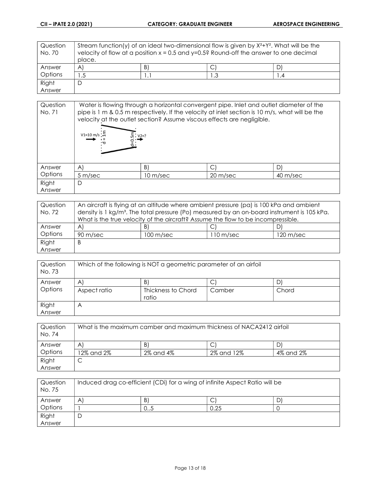| Question<br>No. 70 |                       | Stream function(y) of an ideal two-dimensional flow is given by $X^2+Y^2$ . What will be the<br>velocity of flow at a position $x = 0.5$ and $y=0.5$ ? Round-off the answer to one decimal |     |  |
|--------------------|-----------------------|--------------------------------------------------------------------------------------------------------------------------------------------------------------------------------------------|-----|--|
|                    | place.                |                                                                                                                                                                                            |     |  |
| Answer             | $\mathsf{A}^{\prime}$ | B)                                                                                                                                                                                         | ◡   |  |
| Options            | 1.5                   | . .                                                                                                                                                                                        | ن ا |  |
| Right              |                       |                                                                                                                                                                                            |     |  |
| Answer             |                       |                                                                                                                                                                                            |     |  |

| Question<br>No. 71 |                               | velocity at the outlet section? Assume viscous effects are negligible. |          | Water is flowing through a horizontal convergent pipe. Inlet and outlet diameter of the<br>pipe is 1 m & 0.5 m respectively. If the velocity at inlet section is 10 m/s, what will be the |
|--------------------|-------------------------------|------------------------------------------------------------------------|----------|-------------------------------------------------------------------------------------------------------------------------------------------------------------------------------------------|
|                    | $V1=10 \text{ m/s}$ : 는<br>•ਨ | $: V2 = ?$                                                             |          |                                                                                                                                                                                           |
| Answer             | A)                            | B)                                                                     |          |                                                                                                                                                                                           |
| Options            | 5 m/sec                       | 10 m/sec                                                               | 20 m/sec | 40 m/sec                                                                                                                                                                                  |
| Right              | D                             |                                                                        |          |                                                                                                                                                                                           |
| Answer             |                               |                                                                        |          |                                                                                                                                                                                           |

| Question | An aircraft is flying at an altitude where ambient pressure (pa) is 100 kPa and ambient                 |                     |            |                     |
|----------|---------------------------------------------------------------------------------------------------------|---------------------|------------|---------------------|
| No. 72   | density is 1 kg/m <sup>3</sup> . The total pressure (Po) measured by an on-board instrument is 105 kPa. |                     |            |                     |
|          | What is the true velocity of the aircraft? Assume the flow to be incompressible.                        |                     |            |                     |
| Answer   | A                                                                                                       | $\vert B \vert$     |            | יט                  |
| Options  | 90 m/sec                                                                                                | $100 \text{ m/sec}$ | l 10 m/sec | $120 \text{ m/sec}$ |
| Right    | B                                                                                                       |                     |            |                     |
| Answer   |                                                                                                         |                     |            |                     |

| Question<br>No. 73 |              | Which of the following is NOT a geometric parameter of an airfoil |        |       |
|--------------------|--------------|-------------------------------------------------------------------|--------|-------|
| Answer             | $\mathsf{A}$ | B)                                                                | U      | D'    |
| Options            | Aspect ratio | Thickness to Chord<br>ratio                                       | Camber | Chord |
| Right              | $\forall$    |                                                                   |        |       |
| Answer             |              |                                                                   |        |       |

| Question<br>No. 74 |            |           | What is the maximum camber and maximum thickness of NACA2412 airfoil |           |  |
|--------------------|------------|-----------|----------------------------------------------------------------------|-----------|--|
| Answer             | A          | B.        | С                                                                    |           |  |
| Options            | 12% and 2% | 2% and 4% | 2% and 12%                                                           | 4% and 2% |  |
| Right              | ◡          |           |                                                                      |           |  |
| Answer             |            |           |                                                                      |           |  |

| Question<br>No. 75 |   | Induced drag co-efficient (CDi) for a wing of infinite Aspect Ratio will be |      |  |
|--------------------|---|-----------------------------------------------------------------------------|------|--|
| Answer             | A | B                                                                           |      |  |
| Options            |   | UJ                                                                          | 0.25 |  |
| Right              | D |                                                                             |      |  |
| Answer             |   |                                                                             |      |  |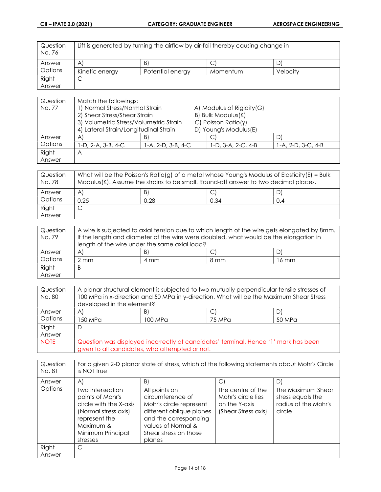| Question<br>No. 76 |                | Lift is generated by turning the airflow by air-foil thereby causing change in |          |          |
|--------------------|----------------|--------------------------------------------------------------------------------|----------|----------|
| Answer             | A              | B'                                                                             |          |          |
| Options            | Kinetic energy | Potential energy                                                               | Momentum | Velocitv |
| Right              | ◡              |                                                                                |          |          |
| Answer             |                |                                                                                |          |          |

| Question | Match the followings:                  |                    |                            |                    |
|----------|----------------------------------------|--------------------|----------------------------|--------------------|
| No. 77   | 1) Normal Stress/Normal Strain         |                    | A) Modulus of Rigidity (G) |                    |
|          | 2) Shear Stress/Shear Strain           |                    | B) Bulk Modulus(K)         |                    |
|          | 3) Volumetric Stress/Volumetric Strain |                    | C) Poisson Ratio( $y$ )    |                    |
|          | 4) Lateral Strain/Longitudinal Strain  |                    | D) Young's Modulus(E)      |                    |
| Answer   | $\mathsf{A}$                           | B                  |                            | D                  |
| Options  | I-D, 2-A, 3-B, 4-C                     | 1-A, 2-D, 3-B, 4-C | 1-D, 3-A, 2-C, 4-B         | 1-A, 2-D, 3-C, 4-B |
| Right    | A                                      |                    |                            |                    |
| Answer   |                                        |                    |                            |                    |

| Question<br>No. 78 |              | What will be the Poisson's Ratio(g) of a metal whose Young's Modulus of Elasticity(E) = Bulk<br>Modulus(K). Assume the strains to be small. Round-off answer to two decimal places. |      |     |
|--------------------|--------------|-------------------------------------------------------------------------------------------------------------------------------------------------------------------------------------|------|-----|
| Answer             | $\mathsf{A}$ | B)                                                                                                                                                                                  | J.   | D   |
| Options            | 0.25         | 0.28                                                                                                                                                                                | 0.34 | 0.4 |
| Right              |              |                                                                                                                                                                                     |      |     |
| Answer             |              |                                                                                                                                                                                     |      |     |

| Question |      | A wire is subjected to axial tension due to which length of the wire gets elongated by 8mm. |      |       |
|----------|------|---------------------------------------------------------------------------------------------|------|-------|
| No. 79   |      | If the length and diameter of the wire were doubled, what would be the elongation in        |      |       |
|          |      | length of the wire under the same axial load?                                               |      |       |
| Answer   | A    | -B)                                                                                         | C    |       |
| Options  | 2 mm | 4 mm                                                                                        | 8 mm | 16 mm |
| Right    | B    |                                                                                             |      |       |
| Answer   |      |                                                                                             |      |       |

| Question<br>No. 80 | developed in the element? |                                                | A planar structural element is subjected to two mutually perpendicular tensile stresses of<br>100 MPa in x-direction and 50 MPa in y-direction. What will be the Maximum Shear Stress |        |
|--------------------|---------------------------|------------------------------------------------|---------------------------------------------------------------------------------------------------------------------------------------------------------------------------------------|--------|
| Answer             | $\mathsf{A}$              | B)                                             | C                                                                                                                                                                                     |        |
| Options            | 150 MPa                   | 100 MPa                                        | 75 MPa                                                                                                                                                                                | 50 MPa |
| Right              | D                         |                                                |                                                                                                                                                                                       |        |
| Answer             |                           |                                                |                                                                                                                                                                                       |        |
| <b>NOTE</b>        |                           | given to all candidates, who attempted or not. | Question was displayed incorrectly at candidates' terminal. Hence '1' mark has been                                                                                                   |        |

| Question<br>No. 81       | is NOT true                                                                                                                                                        | For a given 2-D planar state of stress, which of the following statements about Mohr's Circle                                                                                    |                                                                                      |                                                                                |
|--------------------------|--------------------------------------------------------------------------------------------------------------------------------------------------------------------|----------------------------------------------------------------------------------------------------------------------------------------------------------------------------------|--------------------------------------------------------------------------------------|--------------------------------------------------------------------------------|
| Answer<br><b>Options</b> | $\forall$<br>Two intersection<br>points of Mohr's<br>circle with the X-axis<br>(Normal stress axis)<br>represent the<br>Maximum &<br>Minimum Principal<br>stresses | B)<br>All points on<br>circumference of<br>Mohr's circle represent<br>different oblique planes<br>and the corresponding<br>values of Normal &<br>Shear stress on those<br>planes | C<br>The centre of the<br>Mohr's circle lies<br>on the Y-axis<br>(Shear Stress axis) | D)<br>The Maximum Shear<br>stress equals the<br>radius of the Mohr's<br>circle |
| Right<br>Answer          | C                                                                                                                                                                  |                                                                                                                                                                                  |                                                                                      |                                                                                |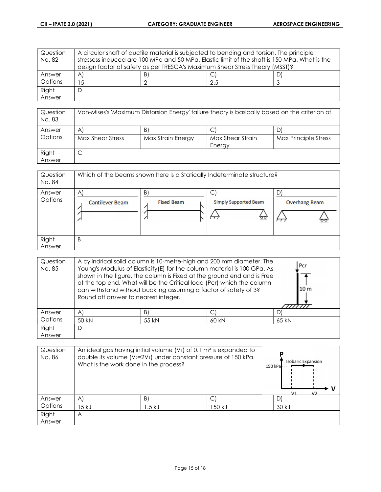| Question | A circular shaft of ductile material is subjected to bending and torsion. The principle      |  |     |  |
|----------|----------------------------------------------------------------------------------------------|--|-----|--|
| No. 82   | stressess induced are 100 MPa and 50 MPa. Elastic limit of the shaft is 150 MPa. What is the |  |     |  |
|          | design factor of safety as per TRESCA's Maximum Shear Stress Theory (MSST)?                  |  |     |  |
| Answer   |                                                                                              |  |     |  |
| Options  | C.                                                                                           |  | 2.5 |  |
| Right    | ┕                                                                                            |  |     |  |
| Answer   |                                                                                              |  |     |  |

| Question<br>No. 83 | Von-Mises's 'Maximum Distorsion Energy' failure theory is basically based on the criterion of |                         |                            |                      |
|--------------------|-----------------------------------------------------------------------------------------------|-------------------------|----------------------------|----------------------|
| Answer<br>Options  | $\mathsf{A}$<br>Max Shear Stress                                                              | B.<br>Max Strain Energy | Max Shear Strain<br>Energy | Max Principle Stress |
| Right<br>Answer    | ◡                                                                                             |                         |                            |                      |

| Question<br>No. 84 |                        | Which of the beams shown here is a Statically Indeterminate structure? |                                             |                      |
|--------------------|------------------------|------------------------------------------------------------------------|---------------------------------------------|----------------------|
| Answer             | $\mathsf{A}$           | B)                                                                     | С                                           | D'                   |
| Options            | <b>Cantilever Beam</b> | <b>Fixed Beam</b>                                                      | <b>Simply Supported Beam</b><br><u>, po</u> | <b>Overhang Beam</b> |
| Right<br>Answer    | B                      |                                                                        |                                             |                      |

| Question<br>No. 85 | Round off answer to nearest integer. | can withstand without buckling assuming a factor of safety of 3? | A cylindrical solid column is 10-metre-high and 200 mm diameter. The<br>Young's Modulus of Elasticity(E) for the column material is 100 GPa. As<br>shown in the figure, the column is Fixed at the ground end and is Free<br>at the top end. What will be the Critical load (Pcr) which the column | Pcr<br>10 m |
|--------------------|--------------------------------------|------------------------------------------------------------------|----------------------------------------------------------------------------------------------------------------------------------------------------------------------------------------------------------------------------------------------------------------------------------------------------|-------------|
| Answer             | A)                                   | B)                                                               | C                                                                                                                                                                                                                                                                                                  | D)          |
| Options            | 50 kN                                | 55 kN                                                            | 60 kN                                                                                                                                                                                                                                                                                              | 65 kN       |
| Right<br>Answer    | D                                    |                                                                  |                                                                                                                                                                                                                                                                                                    |             |

| Question<br>No. 86 | What is the work done in the process? | An ideal gas having initial volume $(V1)$ of 0.1 m <sup>3</sup> is expanded to<br>double its volume $(V_2=2V_1)$ under constant pressure of 150 kPa. |       | <b>Isobaric Expansion</b><br>150 kPa<br>۷1<br>$\mathcal{U}$ |
|--------------------|---------------------------------------|------------------------------------------------------------------------------------------------------------------------------------------------------|-------|-------------------------------------------------------------|
| Answer             | $\mathsf{A}$                          | B                                                                                                                                                    |       | D)                                                          |
| Options            | 15 k.J                                | .5 kJ                                                                                                                                                | 50 kJ | 30 kJ                                                       |
| Right<br>Answer    | A                                     |                                                                                                                                                      |       |                                                             |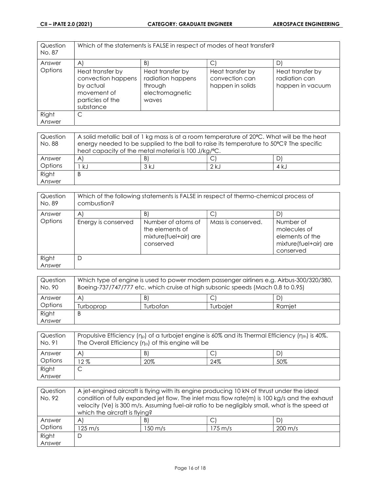| Question<br>No. 87 |                                                                                                     | Which of the statements is FALSE in respect of modes of heat transfer?       |                                                        |                                                       |
|--------------------|-----------------------------------------------------------------------------------------------------|------------------------------------------------------------------------------|--------------------------------------------------------|-------------------------------------------------------|
| Answer             | A                                                                                                   | B)                                                                           |                                                        | D1                                                    |
| Options            | Heat transfer by<br>convection happens<br>by actual<br>movement of<br>particles of the<br>substance | Heat transfer by<br>radiation happens<br>through<br>electromagnetic<br>waves | Heat transfer by<br>convection can<br>happen in solids | Heat transfer by<br>radiation can<br>happen in vacuum |
| Right              | С                                                                                                   |                                                                              |                                                        |                                                       |
| Answer             |                                                                                                     |                                                                              |                                                        |                                                       |

| Question |    | A solid metallic ball of 1 kg mass is at a room temperature of 20°C. What will be the heat |        |       |
|----------|----|--------------------------------------------------------------------------------------------|--------|-------|
| No. 88   |    | energy needed to be supplied to the ball to raise its temperature to 50°C? The specific    |        |       |
|          |    | heat capacity of the metal material is 100 J/kg/°C.                                        |        |       |
| Answer   | A  | B)                                                                                         |        |       |
| Options  | k. | 3 kJ                                                                                       | $2$ kJ | 4 k.J |
| Right    | B  |                                                                                            |        |       |
| Answer   |    |                                                                                            |        |       |

| Question<br>No. 89 | combustion?         | Which of the following statements is FALSE in respect of thermo-chemical process of |                    |                                                                                    |
|--------------------|---------------------|-------------------------------------------------------------------------------------|--------------------|------------------------------------------------------------------------------------|
| Answer             | $\mathsf{A}$        | B.                                                                                  |                    |                                                                                    |
| Options            | Energy is conserved | Number of atoms of<br>the elements of<br>mixture(fuel+air) are<br>conserved         | Mass is conserved. | Number of<br>molecules of<br>elements of the<br>mixture(fuel+air) are<br>conserved |
| Right<br>Answer    | D                   |                                                                                     |                    |                                                                                    |

| Question<br>No. 90 |           | Which type of engine is used to power modern passenger airliners e.g. Airbus-300/320/380,<br>Boeing-737/747/777 etc. which cruise at high subsonic speeds (Mach 0.8 to 0.95) |          |        |
|--------------------|-----------|------------------------------------------------------------------------------------------------------------------------------------------------------------------------------|----------|--------|
| Answer             | A.        | -B)                                                                                                                                                                          | ◡        |        |
| Options            | furboprop | Turbofan.                                                                                                                                                                    | Turboiet | Ramiet |
| Right              | B         |                                                                                                                                                                              |          |        |
| Answer             |           |                                                                                                                                                                              |          |        |

| Question<br>No. 91 |       | Propulsive Efficiency ( $n_p$ ) of a turbojet engine is 60% and its Thermal Efficiency ( $n_{th}$ ) is 40%.<br>The Overall Efficiency $(n_0)$ of this engine will be |     |     |
|--------------------|-------|----------------------------------------------------------------------------------------------------------------------------------------------------------------------|-----|-----|
| Answer             | A     | B                                                                                                                                                                    | C   |     |
| Options            | $2\%$ | 20%                                                                                                                                                                  | 24% | 50% |
| Right              | ◡     |                                                                                                                                                                      |     |     |
| Answer             |       |                                                                                                                                                                      |     |     |

| Question<br>No. 92 | which the aircraft is flying? |         | A jet-engined aircraft is flying with its engine producing 10 kN of thrust under the ideal | condition of fully expanded jet flow. The inlet mass flow rate(m) is 100 kg/s and the exhaust<br>velocity (Ve) is 300 m/s. Assuming fuel-air ratio to be negligibly small, what is the speed at |
|--------------------|-------------------------------|---------|--------------------------------------------------------------------------------------------|-------------------------------------------------------------------------------------------------------------------------------------------------------------------------------------------------|
| Answer             | $\mathsf{A}$                  | B)      |                                                                                            |                                                                                                                                                                                                 |
| Options            | $125 \text{ m/s}$             | 150 m/s | $175 \text{ m/s}$                                                                          | $200 \text{ m/s}$                                                                                                                                                                               |
| Right              | D                             |         |                                                                                            |                                                                                                                                                                                                 |
| Answer             |                               |         |                                                                                            |                                                                                                                                                                                                 |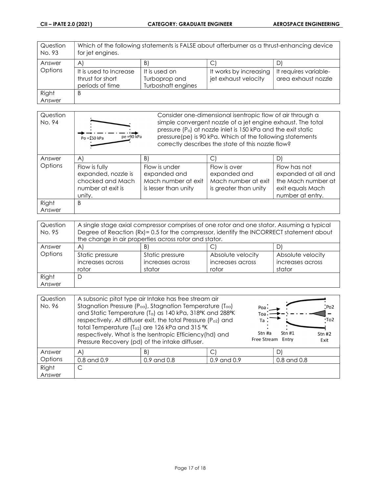| Question<br>No. 93 | Which of the following statements is FALSE about afterburner as a thrust-enhancing device<br>for jet engines. |                                                      |                                                |                                              |
|--------------------|---------------------------------------------------------------------------------------------------------------|------------------------------------------------------|------------------------------------------------|----------------------------------------------|
| Answer             | $\mathsf{A}^{\mathsf{r}}$                                                                                     | B                                                    | С                                              |                                              |
| Options            | It is used to Increase<br>thrust for short<br>periods of time                                                 | It is used on<br>Turboprop and<br>Turboshaft engines | It works by increasing<br>jet exhaust velocity | It requires variable-<br>area exhaust nozzle |
| Right              | В                                                                                                             |                                                      |                                                |                                              |
| Answer             |                                                                                                               |                                                      |                                                |                                              |

| Question<br>No. 94 | $pe = 90$ kPa<br>Po = 150 kPa                                                           |                                                                              | Consider one-dimensional isentropic flow of air through a<br>simple convergent nozzle of a jet engine exhaust. The total<br>pressure (P <sub>o</sub> ) at nozzle inlet is 150 kPa and the exit static<br>pressure(pe) is 90 kPa. Which of the following statements<br>correctly describes the state of this nozzle flow? |                                                                                                   |  |
|--------------------|-----------------------------------------------------------------------------------------|------------------------------------------------------------------------------|--------------------------------------------------------------------------------------------------------------------------------------------------------------------------------------------------------------------------------------------------------------------------------------------------------------------------|---------------------------------------------------------------------------------------------------|--|
| Answer             | A                                                                                       | B)                                                                           |                                                                                                                                                                                                                                                                                                                          | D)                                                                                                |  |
| Options            | Flow is fully<br>expanded, nozzle is<br>chocked and Mach<br>number at exit is<br>unity. | Flow is under<br>expanded and<br>Mach number at exit<br>is lesser than unity | Flow is over<br>expanded and<br>Mach number at exit<br>is greater than unity                                                                                                                                                                                                                                             | Flow has not<br>expanded at all and<br>the Mach number at<br>exit equals Mach<br>number at entry. |  |
| Right              | B                                                                                       |                                                                              |                                                                                                                                                                                                                                                                                                                          |                                                                                                   |  |
| Answer             |                                                                                         |                                                                              |                                                                                                                                                                                                                                                                                                                          |                                                                                                   |  |

| Question<br>No. 95 | A single stage axial compressor comprises of one rotor and one stator. Assuming a typical<br>Degree of Reaction (Rx)= 0.5 for the compressor, identify the INCORRECT statement about |                  |                   |                   |
|--------------------|--------------------------------------------------------------------------------------------------------------------------------------------------------------------------------------|------------------|-------------------|-------------------|
|                    | the change in air properties across rotor and stator.                                                                                                                                |                  |                   |                   |
| Answer             | A                                                                                                                                                                                    |                  |                   |                   |
| Options            | Static pressure                                                                                                                                                                      | Static pressure  | Absolute velocity | Absolute velocity |
|                    | increases across                                                                                                                                                                     | increases across | increases across  | increases across  |
|                    | rotor                                                                                                                                                                                | stator           | rotor             | stator            |
| Right              | D                                                                                                                                                                                    |                  |                   |                   |
| Answer             |                                                                                                                                                                                      |                  |                   |                   |

| Question<br>No. 96 |                 | A subsonic pitot type air Intake has free stream air<br>Stagnation Pressure (Poa), Stagnation Temperature (Toa)<br>and Static Temperature (Ta) as 140 kPa, 318°K and 288°K<br>respectively. At diffuser exit, the total Pressure (P <sub>o2</sub> ) and<br>total Temperature (To2) are 126 kPa and 315 °K<br>respectively. What is the Isentropic Efficiency(hd) and<br>Pressure Recovery (pd) of the intake diffuser. | $Poa$ .<br>Toa<br>Ta :<br>Stn#1<br>Stn #a<br>Free Stream Entry | Po <sub>2</sub><br>∙To2<br>Stn#2<br>Exit |  |
|--------------------|-----------------|------------------------------------------------------------------------------------------------------------------------------------------------------------------------------------------------------------------------------------------------------------------------------------------------------------------------------------------------------------------------------------------------------------------------|----------------------------------------------------------------|------------------------------------------|--|
| Answer             | $\mathsf{A}$    | B)                                                                                                                                                                                                                                                                                                                                                                                                                     | С                                                              | D)                                       |  |
| Options            | $0.8$ and $0.9$ | $0.9$ and $0.8$                                                                                                                                                                                                                                                                                                                                                                                                        | $0.9$ and $0.9$                                                | $0.8$ and $0.8$                          |  |
| Right<br>Answer    |                 |                                                                                                                                                                                                                                                                                                                                                                                                                        |                                                                |                                          |  |